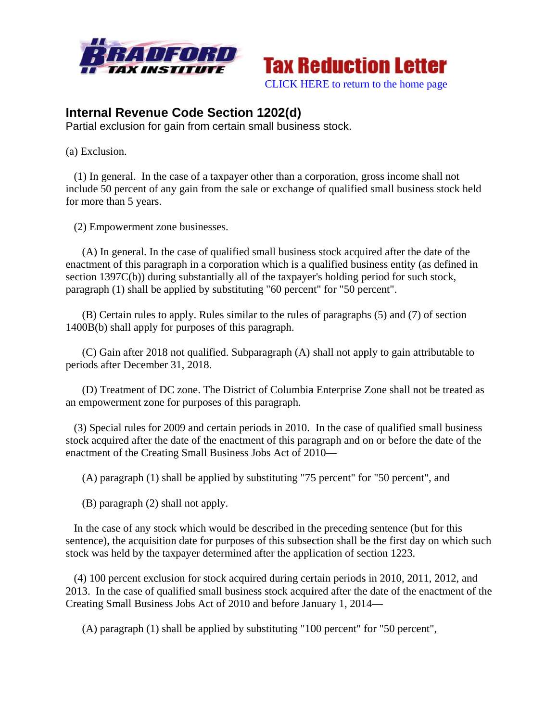



## **Internal Revenue Code Section 1202(d)**

Partial exclusion for gain from certain small business stock.

(a) Exclusion.

(1) In general. In the case of a taxpayer other than a corporation, gross income shall not include 50 percent of any gain from the sale or exchange of qualified small business stock held for more than 5 years.

(2) Em mpowerment zone busine sses.

(A) In general. In the case of qualified small business stock acquired after the date of the (A) In general. In the case of qualified small business stock acquired after the date of the enactment of this paragraph in a corporation which is a qualified business entity (as defined in section 1397C(b)) during substantially all of the taxpayer's holding period for such stock, paragraph (1) shall be applied by substituting "60 percent" for "50 percent".

(B) Certain rules to apply. Rules similar to the rules of paragraphs (5) and (7) of section 1400B(b) shall apply for purposes of this paragraph.

(C) Gain after 2018 not qualified. Subparagraph (A) shall not apply to gain attributable to periods after December 31, 2018.

(D) Treatment of DC zone. The District of Columbia Enterprise Zone shall not be treated as an empowerment zone for purposes of this paragraph.

(3) Special rules for 2009 and certain periods in 2010. In the case of qualified small business stock acquired after the date of the enactment of this paragraph and on or before the date of the enactment of the Creating Small Business Jobs Act of 2010-

(A) paragraph (1) shall be applied by substituting "75 percent" for "50 percent", and

(B) paragraph (2) shall not apply.

In the case of any stock which would be described in the preceding sentence (but for this sentence), the acquisition date for purposes of this subsection shall be the first day on which such stock was held by the taxpayer determined after the application of section 1223.

(4) 100 percent exclusion for stock acquired during certain periods in 2010, 2011, 2012, and 2013. In the case of qualified small business stock acquired after the date of the enactment of the Creating Small Business Jobs Act of 2010 and before January 1, 2014—

(A) paragraph (1) shall be applied by substituting "100 percent" for "50 percent",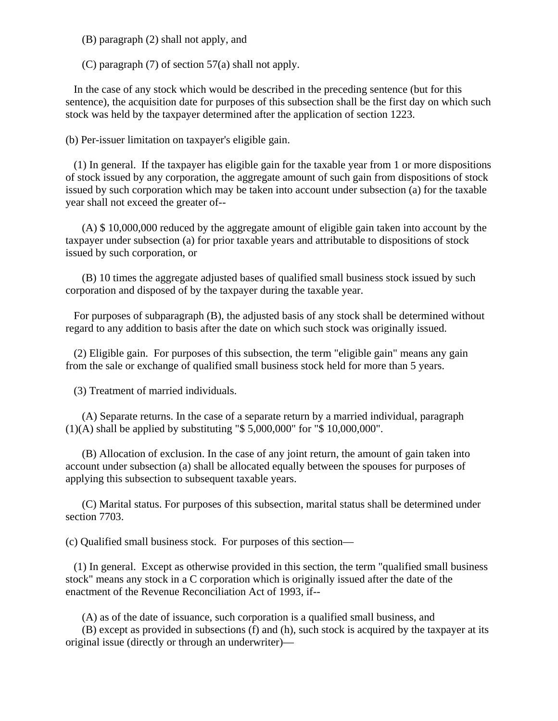(B) paragraph (2) shall not apply, and

(C) paragraph (7) of section 57(a) shall not apply.

 In the case of any stock which would be described in the preceding sentence (but for this sentence), the acquisition date for purposes of this subsection shall be the first day on which such stock was held by the taxpayer determined after the application of section 1223.

(b) Per-issuer limitation on taxpayer's eligible gain.

 (1) In general. If the taxpayer has eligible gain for the taxable year from 1 or more dispositions of stock issued by any corporation, the aggregate amount of such gain from dispositions of stock issued by such corporation which may be taken into account under subsection (a) for the taxable year shall not exceed the greater of--

 (A) \$ 10,000,000 reduced by the aggregate amount of eligible gain taken into account by the taxpayer under subsection (a) for prior taxable years and attributable to dispositions of stock issued by such corporation, or

 (B) 10 times the aggregate adjusted bases of qualified small business stock issued by such corporation and disposed of by the taxpayer during the taxable year.

 For purposes of subparagraph (B), the adjusted basis of any stock shall be determined without regard to any addition to basis after the date on which such stock was originally issued.

 (2) Eligible gain. For purposes of this subsection, the term "eligible gain" means any gain from the sale or exchange of qualified small business stock held for more than 5 years.

(3) Treatment of married individuals.

 (A) Separate returns. In the case of a separate return by a married individual, paragraph (1)(A) shall be applied by substituting "\$ 5,000,000" for "\$ 10,000,000".

 (B) Allocation of exclusion. In the case of any joint return, the amount of gain taken into account under subsection (a) shall be allocated equally between the spouses for purposes of applying this subsection to subsequent taxable years.

 (C) Marital status. For purposes of this subsection, marital status shall be determined under section 7703.

(c) Qualified small business stock. For purposes of this section—

 (1) In general. Except as otherwise provided in this section, the term "qualified small business stock" means any stock in a C corporation which is originally issued after the date of the enactment of the Revenue Reconciliation Act of 1993, if--

(A) as of the date of issuance, such corporation is a qualified small business, and

 (B) except as provided in subsections (f) and (h), such stock is acquired by the taxpayer at its original issue (directly or through an underwriter)—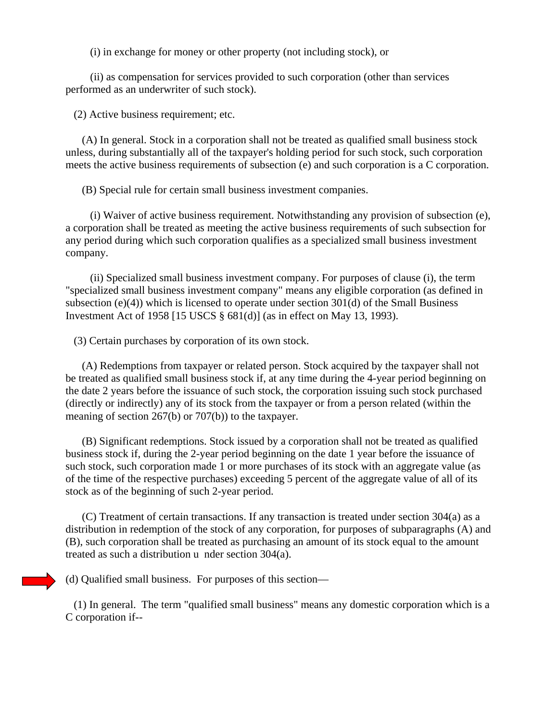(i) in exchange for money or other property (not including stock), or

 (ii) as compensation for services provided to such corporation (other than services performed as an underwriter of such stock).

(2) Active business requirement; etc.

 (A) In general. Stock in a corporation shall not be treated as qualified small business stock unless, during substantially all of the taxpayer's holding period for such stock, such corporation meets the active business requirements of subsection (e) and such corporation is a C corporation.

(B) Special rule for certain small business investment companies.

 (i) Waiver of active business requirement. Notwithstanding any provision of subsection (e), a corporation shall be treated as meeting the active business requirements of such subsection for any period during which such corporation qualifies as a specialized small business investment company.

 (ii) Specialized small business investment company. For purposes of clause (i), the term "specialized small business investment company" means any eligible corporation (as defined in subsection (e)(4)) which is licensed to operate under section 301(d) of the Small Business Investment Act of 1958 [15 USCS § 681(d)] (as in effect on May 13, 1993).

(3) Certain purchases by corporation of its own stock.

 (A) Redemptions from taxpayer or related person. Stock acquired by the taxpayer shall not be treated as qualified small business stock if, at any time during the 4-year period beginning on the date 2 years before the issuance of such stock, the corporation issuing such stock purchased (directly or indirectly) any of its stock from the taxpayer or from a person related (within the meaning of section 267(b) or 707(b)) to the taxpayer.

 (B) Significant redemptions. Stock issued by a corporation shall not be treated as qualified business stock if, during the 2-year period beginning on the date 1 year before the issuance of such stock, such corporation made 1 or more purchases of its stock with an aggregate value (as of the time of the respective purchases) exceeding 5 percent of the aggregate value of all of its stock as of the beginning of such 2-year period.

 (C) Treatment of certain transactions. If any transaction is treated under section 304(a) as a distribution in redemption of the stock of any corporation, for purposes of subparagraphs (A) and (B), such corporation shall be treated as purchasing an amount of its stock equal to the amount treated as such a distribution u nder section 304(a).

(d) Qualified small business. For purposes of this section—

 (1) In general. The term "qualified small business" means any domestic corporation which is a C corporation if--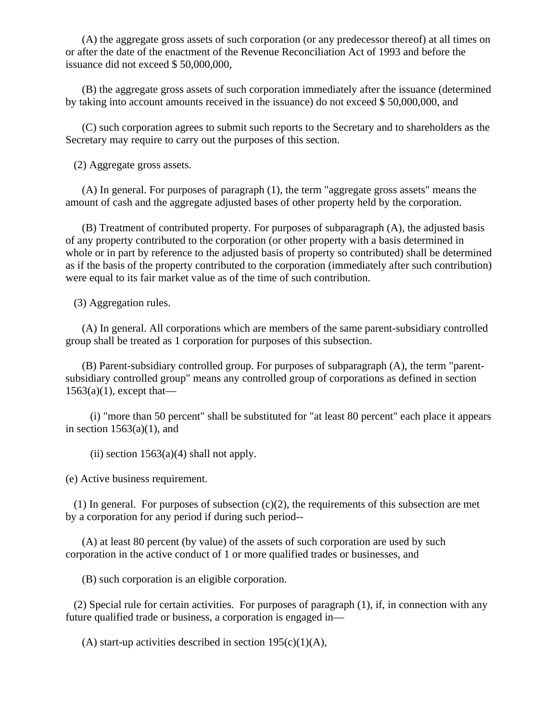(A) the aggregate gross assets of such corporation (or any predecessor thereof) at all times on or after the date of the enactment of the Revenue Reconciliation Act of 1993 and before the issuance did not exceed \$ 50,000,000,

 (B) the aggregate gross assets of such corporation immediately after the issuance (determined by taking into account amounts received in the issuance) do not exceed \$ 50,000,000, and

 (C) such corporation agrees to submit such reports to the Secretary and to shareholders as the Secretary may require to carry out the purposes of this section.

(2) Aggregate gross assets.

 (A) In general. For purposes of paragraph (1), the term "aggregate gross assets" means the amount of cash and the aggregate adjusted bases of other property held by the corporation.

 (B) Treatment of contributed property. For purposes of subparagraph (A), the adjusted basis of any property contributed to the corporation (or other property with a basis determined in whole or in part by reference to the adjusted basis of property so contributed) shall be determined as if the basis of the property contributed to the corporation (immediately after such contribution) were equal to its fair market value as of the time of such contribution.

(3) Aggregation rules.

 (A) In general. All corporations which are members of the same parent-subsidiary controlled group shall be treated as 1 corporation for purposes of this subsection.

 (B) Parent-subsidiary controlled group. For purposes of subparagraph (A), the term "parentsubsidiary controlled group" means any controlled group of corporations as defined in section  $1563(a)(1)$ , except that—

 (i) "more than 50 percent" shall be substituted for "at least 80 percent" each place it appears in section  $1563(a)(1)$ , and

(ii) section  $1563(a)(4)$  shall not apply.

(e) Active business requirement.

(1) In general. For purposes of subsection  $(c)(2)$ , the requirements of this subsection are met by a corporation for any period if during such period--

 (A) at least 80 percent (by value) of the assets of such corporation are used by such corporation in the active conduct of 1 or more qualified trades or businesses, and

(B) such corporation is an eligible corporation.

 (2) Special rule for certain activities. For purposes of paragraph (1), if, in connection with any future qualified trade or business, a corporation is engaged in—

(A) start-up activities described in section  $195(c)(1)(A)$ ,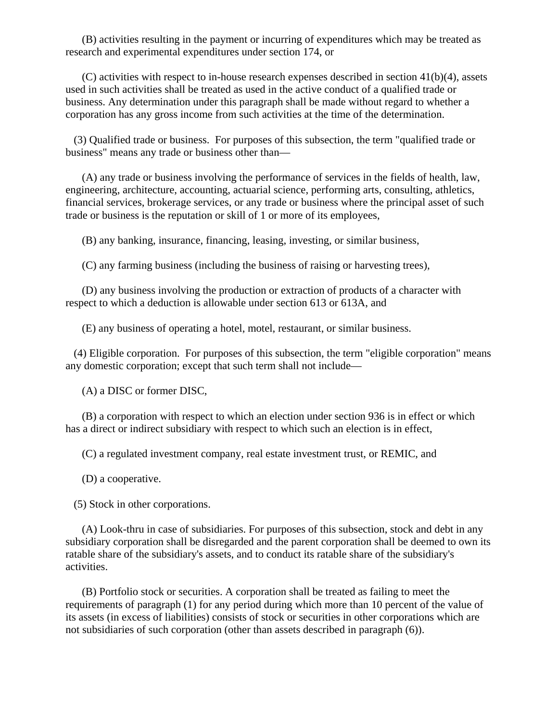(B) activities resulting in the payment or incurring of expenditures which may be treated as research and experimental expenditures under section 174, or

 $(C)$  activities with respect to in-house research expenses described in section  $41(b)(4)$ , assets used in such activities shall be treated as used in the active conduct of a qualified trade or business. Any determination under this paragraph shall be made without regard to whether a corporation has any gross income from such activities at the time of the determination.

 (3) Qualified trade or business. For purposes of this subsection, the term "qualified trade or business" means any trade or business other than—

 (A) any trade or business involving the performance of services in the fields of health, law, engineering, architecture, accounting, actuarial science, performing arts, consulting, athletics, financial services, brokerage services, or any trade or business where the principal asset of such trade or business is the reputation or skill of 1 or more of its employees,

(B) any banking, insurance, financing, leasing, investing, or similar business,

(C) any farming business (including the business of raising or harvesting trees),

 (D) any business involving the production or extraction of products of a character with respect to which a deduction is allowable under section 613 or 613A, and

(E) any business of operating a hotel, motel, restaurant, or similar business.

 (4) Eligible corporation. For purposes of this subsection, the term "eligible corporation" means any domestic corporation; except that such term shall not include—

(A) a DISC or former DISC,

 (B) a corporation with respect to which an election under section 936 is in effect or which has a direct or indirect subsidiary with respect to which such an election is in effect,

(C) a regulated investment company, real estate investment trust, or REMIC, and

(D) a cooperative.

(5) Stock in other corporations.

 (A) Look-thru in case of subsidiaries. For purposes of this subsection, stock and debt in any subsidiary corporation shall be disregarded and the parent corporation shall be deemed to own its ratable share of the subsidiary's assets, and to conduct its ratable share of the subsidiary's activities.

 (B) Portfolio stock or securities. A corporation shall be treated as failing to meet the requirements of paragraph (1) for any period during which more than 10 percent of the value of its assets (in excess of liabilities) consists of stock or securities in other corporations which are not subsidiaries of such corporation (other than assets described in paragraph (6)).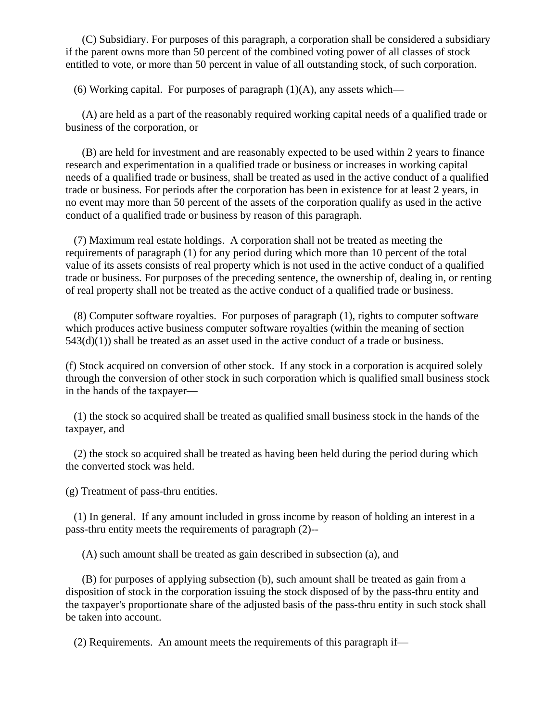(C) Subsidiary. For purposes of this paragraph, a corporation shall be considered a subsidiary if the parent owns more than 50 percent of the combined voting power of all classes of stock entitled to vote, or more than 50 percent in value of all outstanding stock, of such corporation.

(6) Working capital. For purposes of paragraph  $(1)(A)$ , any assets which—

 (A) are held as a part of the reasonably required working capital needs of a qualified trade or business of the corporation, or

 (B) are held for investment and are reasonably expected to be used within 2 years to finance research and experimentation in a qualified trade or business or increases in working capital needs of a qualified trade or business, shall be treated as used in the active conduct of a qualified trade or business. For periods after the corporation has been in existence for at least 2 years, in no event may more than 50 percent of the assets of the corporation qualify as used in the active conduct of a qualified trade or business by reason of this paragraph.

 (7) Maximum real estate holdings. A corporation shall not be treated as meeting the requirements of paragraph (1) for any period during which more than 10 percent of the total value of its assets consists of real property which is not used in the active conduct of a qualified trade or business. For purposes of the preceding sentence, the ownership of, dealing in, or renting of real property shall not be treated as the active conduct of a qualified trade or business.

 (8) Computer software royalties. For purposes of paragraph (1), rights to computer software which produces active business computer software royalties (within the meaning of section  $543(d)(1)$ ) shall be treated as an asset used in the active conduct of a trade or business.

(f) Stock acquired on conversion of other stock. If any stock in a corporation is acquired solely through the conversion of other stock in such corporation which is qualified small business stock in the hands of the taxpayer—

 (1) the stock so acquired shall be treated as qualified small business stock in the hands of the taxpayer, and

 (2) the stock so acquired shall be treated as having been held during the period during which the converted stock was held.

(g) Treatment of pass-thru entities.

 (1) In general. If any amount included in gross income by reason of holding an interest in a pass-thru entity meets the requirements of paragraph (2)--

(A) such amount shall be treated as gain described in subsection (a), and

 (B) for purposes of applying subsection (b), such amount shall be treated as gain from a disposition of stock in the corporation issuing the stock disposed of by the pass-thru entity and the taxpayer's proportionate share of the adjusted basis of the pass-thru entity in such stock shall be taken into account.

(2) Requirements. An amount meets the requirements of this paragraph if—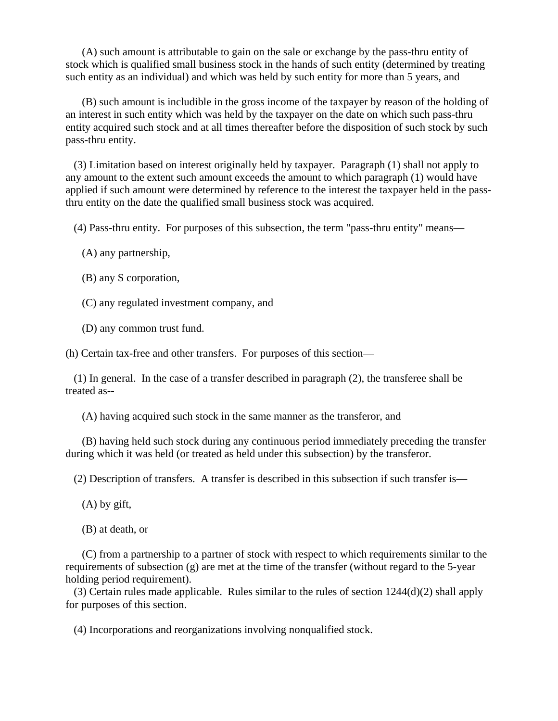(A) such amount is attributable to gain on the sale or exchange by the pass-thru entity of stock which is qualified small business stock in the hands of such entity (determined by treating such entity as an individual) and which was held by such entity for more than 5 years, and

 (B) such amount is includible in the gross income of the taxpayer by reason of the holding of an interest in such entity which was held by the taxpayer on the date on which such pass-thru entity acquired such stock and at all times thereafter before the disposition of such stock by such pass-thru entity.

 (3) Limitation based on interest originally held by taxpayer. Paragraph (1) shall not apply to any amount to the extent such amount exceeds the amount to which paragraph (1) would have applied if such amount were determined by reference to the interest the taxpayer held in the passthru entity on the date the qualified small business stock was acquired.

(4) Pass-thru entity. For purposes of this subsection, the term "pass-thru entity" means—

(A) any partnership,

(B) any S corporation,

(C) any regulated investment company, and

(D) any common trust fund.

(h) Certain tax-free and other transfers. For purposes of this section—

 (1) In general. In the case of a transfer described in paragraph (2), the transferee shall be treated as--

(A) having acquired such stock in the same manner as the transferor, and

 (B) having held such stock during any continuous period immediately preceding the transfer during which it was held (or treated as held under this subsection) by the transferor.

(2) Description of transfers. A transfer is described in this subsection if such transfer is—

(A) by gift,

(B) at death, or

 (C) from a partnership to a partner of stock with respect to which requirements similar to the requirements of subsection  $(g)$  are met at the time of the transfer (without regard to the 5-year holding period requirement).

 (3) Certain rules made applicable. Rules similar to the rules of section 1244(d)(2) shall apply for purposes of this section.

(4) Incorporations and reorganizations involving nonqualified stock.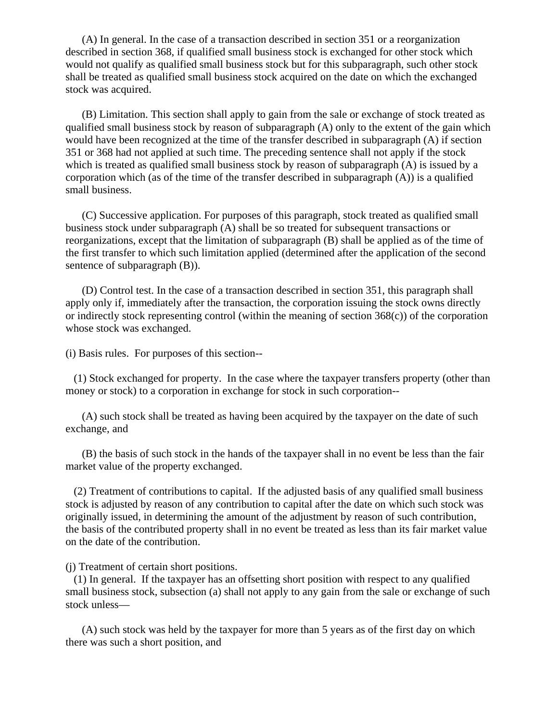(A) In general. In the case of a transaction described in section 351 or a reorganization described in section 368, if qualified small business stock is exchanged for other stock which would not qualify as qualified small business stock but for this subparagraph, such other stock shall be treated as qualified small business stock acquired on the date on which the exchanged stock was acquired.

 (B) Limitation. This section shall apply to gain from the sale or exchange of stock treated as qualified small business stock by reason of subparagraph (A) only to the extent of the gain which would have been recognized at the time of the transfer described in subparagraph (A) if section 351 or 368 had not applied at such time. The preceding sentence shall not apply if the stock which is treated as qualified small business stock by reason of subparagraph (A) is issued by a corporation which (as of the time of the transfer described in subparagraph  $(A)$ ) is a qualified small business.

 (C) Successive application. For purposes of this paragraph, stock treated as qualified small business stock under subparagraph (A) shall be so treated for subsequent transactions or reorganizations, except that the limitation of subparagraph (B) shall be applied as of the time of the first transfer to which such limitation applied (determined after the application of the second sentence of subparagraph  $(B)$ ).

 (D) Control test. In the case of a transaction described in section 351, this paragraph shall apply only if, immediately after the transaction, the corporation issuing the stock owns directly or indirectly stock representing control (within the meaning of section 368(c)) of the corporation whose stock was exchanged.

(i) Basis rules. For purposes of this section--

 (1) Stock exchanged for property. In the case where the taxpayer transfers property (other than money or stock) to a corporation in exchange for stock in such corporation--

 (A) such stock shall be treated as having been acquired by the taxpayer on the date of such exchange, and

 (B) the basis of such stock in the hands of the taxpayer shall in no event be less than the fair market value of the property exchanged.

 (2) Treatment of contributions to capital. If the adjusted basis of any qualified small business stock is adjusted by reason of any contribution to capital after the date on which such stock was originally issued, in determining the amount of the adjustment by reason of such contribution, the basis of the contributed property shall in no event be treated as less than its fair market value on the date of the contribution.

(j) Treatment of certain short positions.

 (1) In general. If the taxpayer has an offsetting short position with respect to any qualified small business stock, subsection (a) shall not apply to any gain from the sale or exchange of such stock unless—

 (A) such stock was held by the taxpayer for more than 5 years as of the first day on which there was such a short position, and